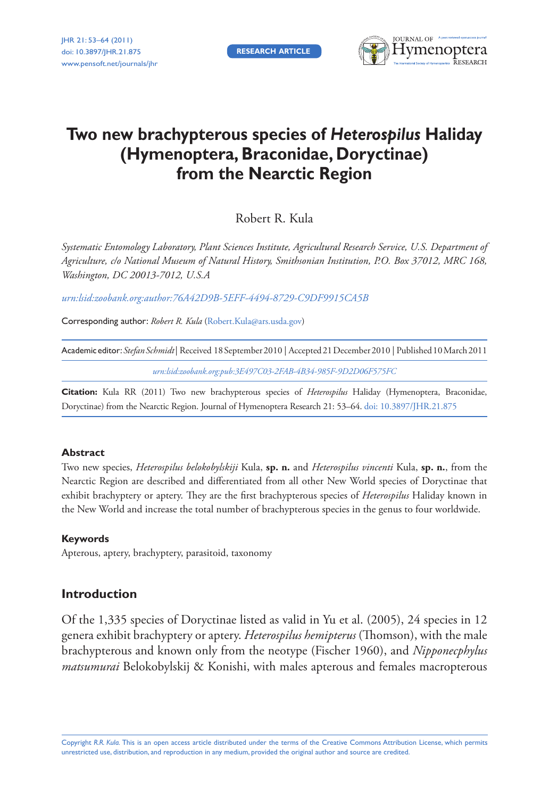**RESEARCH ARTICLE**



# **Two new brachypterous species of** *Heterospilus* **Haliday (Hymenoptera, Braconidae, Doryctinae) from the Nearctic Region**

Robert R. Kula

*Systematic Entomology Laboratory, Plant Sciences Institute, Agricultural Research Service, U.S. Department of Agriculture, c/o National Museum of Natural History, Smithsonian Institution, P.O. Box 37012, MRC 168, Washington, DC 20013-7012, U.S.A*

*[urn:lsid:zoobank.org:author:76A42D9B-5EFF-4494-8729-C9DF9915CA5B](http://zoobank.org/?lsid=urn:lsid:zoobank.org:author:76A42D9B-5EFF-4494-8729-C9DF9915CA5B)*

Corresponding author: *Robert R. Kula* ([Robert.Kula@ars.usda.gov](mailto:Robert.Kula@ars.usda.gov))

Academic editor:*Stefan Schmidt* | Received 18 September 2010 | Accepted 21 December 2010 | Published 10 March 2011

*[urn:lsid:zoobank.org:pub:3E497C03-2FAB-4B34-985F-9D2D06F575FC](http://zoobank.org/?lsid=urn:lsid:zoobank.org:pub:3E497C03-2FAB-4B34-985F-9D2D06F575FC)*

**Citation:** Kula RR (2011) Two new brachypterous species of *Heterospilus* Haliday (Hymenoptera, Braconidae, Doryctinae) from the Nearctic Region. Journal of Hymenoptera Research 21: 53–64. [doi: 10.3897/JHR.21.875](http://dx.doi.org/10.3897/jhr.21.875)

### **Abstract**

Two new species, *Heterospilus belokobylskiji* Kula, **sp. n.** and *Heterospilus vincenti* Kula, **sp. n.**, from the Nearctic Region are described and differentiated from all other New World species of Doryctinae that exhibit brachyptery or aptery. They are the first brachypterous species of *Heterospilus* Haliday known in the New World and increase the total number of brachypterous species in the genus to four worldwide.

### **Keywords**

Apterous, aptery, brachyptery, parasitoid, taxonomy

### **Introduction**

Of the 1,335 species of Doryctinae listed as valid in Yu et al. (2005), 24 species in 12 genera exhibit brachyptery or aptery. *Heterospilus hemipterus* (Thomson), with the male brachypterous and known only from the neotype (Fischer 1960), and *Nipponecphylus matsumurai* Belokobylskij & Konishi, with males apterous and females macropterous

Copyright *R.R. Kula.* This is an open access article distributed under the terms of the [Creative Commons Attribution License](http://creativecommons.org/licenses/by/3.0/), which permits unrestricted use, distribution, and reproduction in any medium, provided the original author and source are credited.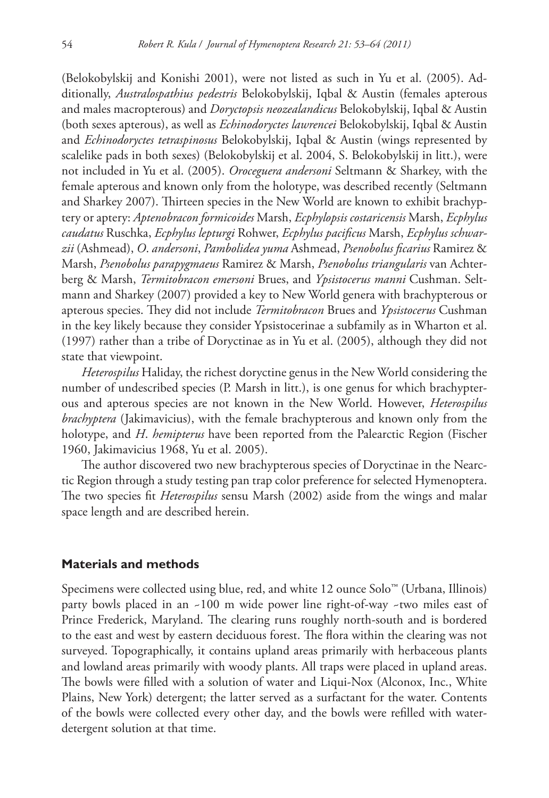(Belokobylskij and Konishi 2001), were not listed as such in Yu et al. (2005). Additionally, *Australospathius pedestris* Belokobylskij, Iqbal & Austin (females apterous and males macropterous) and *Doryctopsis neozealandicus* Belokobylskij, Iqbal & Austin (both sexes apterous), as well as *Echinodoryctes lawrencei* Belokobylskij, Iqbal & Austin and *Echinodoryctes tetraspinosus* Belokobylskij, Iqbal & Austin (wings represented by scalelike pads in both sexes) (Belokobylskij et al. 2004, S. Belokobylskij in litt.), were not included in Yu et al. (2005). *Oroceguera andersoni* Seltmann & Sharkey, with the female apterous and known only from the holotype, was described recently (Seltmann and Sharkey 2007). Thirteen species in the New World are known to exhibit brachyptery or aptery: *Aptenobracon formicoides* Marsh, *Ecphylopsis costaricensis* Marsh, *Ecphylus caudatus* Ruschka, *Ecphylus lepturgi* Rohwer, *Ecphylus pacifi cus* Marsh, *Ecphylus schwar* $zii$  (Ashmead), *O. andersoni, Pambolidea yuma* Ashmead, *Psenobolus ficarius* Ramirez & Marsh, *Psenobolus parapygmaeus* Ramirez & Marsh, *Psenobolus triangularis* van Achterberg & Marsh, *Termitobracon emersoni* Brues, and *Ypsistocerus manni* Cushman. Seltmann and Sharkey (2007) provided a key to New World genera with brachypterous or apterous species. They did not include *Termitobracon* Brues and *Ypsistocerus* Cushman in the key likely because they consider Ypsistocerinae a subfamily as in Wharton et al. (1997) rather than a tribe of Doryctinae as in Yu et al. (2005), although they did not state that viewpoint.

*Heterospilus* Haliday, the richest doryctine genus in the New World considering the number of undescribed species (P. Marsh in litt.), is one genus for which brachypterous and apterous species are not known in the New World. However, *Heterospilus brachyptera* (Jakimavicius), with the female brachypterous and known only from the holotype, and *H*. *hemipterus* have been reported from the Palearctic Region (Fischer 1960, Jakimavicius 1968, Yu et al. 2005).

The author discovered two new brachypterous species of Doryctinae in the Nearctic Region through a study testing pan trap color preference for selected Hymenoptera. The two species fit *Heterospilus* sensu Marsh (2002) aside from the wings and malar space length and are described herein.

### **Materials and methods**

Specimens were collected using blue, red, and white 12 ounce Solo™ (Urbana, Illinois) party bowls placed in an ~100 m wide power line right-of-way ~two miles east of Prince Frederick, Maryland. The clearing runs roughly north-south and is bordered to the east and west by eastern deciduous forest. The flora within the clearing was not surveyed. Topographically, it contains upland areas primarily with herbaceous plants and lowland areas primarily with woody plants. All traps were placed in upland areas. The bowls were filled with a solution of water and Liqui-Nox (Alconox, Inc., White Plains, New York) detergent; the latter served as a surfactant for the water. Contents of the bowls were collected every other day, and the bowls were refilled with waterdetergent solution at that time.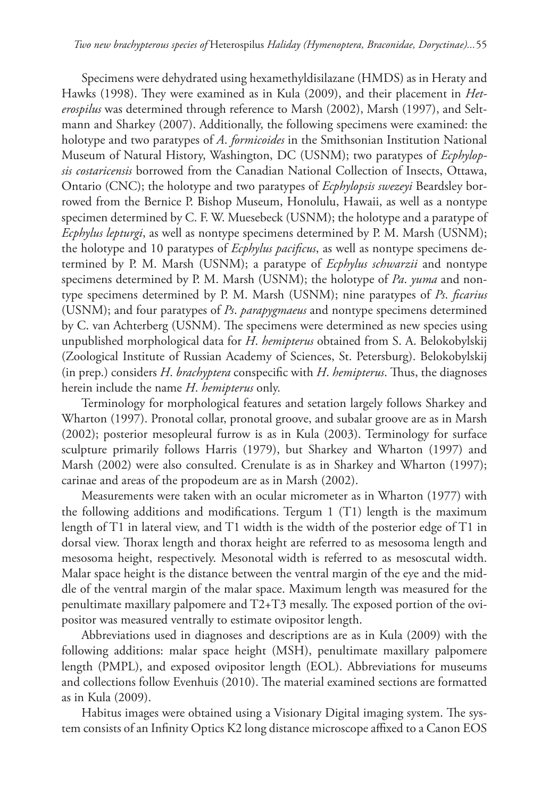Specimens were dehydrated using hexamethyldisilazane (HMDS) as in Heraty and Hawks (1998). They were examined as in Kula (2009), and their placement in *Heterospilus* was determined through reference to Marsh (2002), Marsh (1997), and Seltmann and Sharkey (2007). Additionally, the following specimens were examined: the holotype and two paratypes of *A*. *formicoides* in the Smithsonian Institution National Museum of Natural History, Washington, DC (USNM); two paratypes of *Ecphylopsis costaricensis* borrowed from the Canadian National Collection of Insects, Ottawa, Ontario (CNC); the holotype and two paratypes of *Ecphylopsis swezeyi* Beardsley borrowed from the Bernice P. Bishop Museum, Honolulu, Hawaii, as well as a nontype specimen determined by C. F. W. Muesebeck (USNM); the holotype and a paratype of *Ecphylus lepturgi*, as well as nontype specimens determined by P. M. Marsh (USNM); the holotype and 10 paratypes of *Ecphylus pacificus*, as well as nontype specimens determined by P. M. Marsh (USNM); a paratype of *Ecphylus schwarzii* and nontype specimens determined by P. M. Marsh (USNM); the holotype of *Pa*. *yuma* and nontype specimens determined by P. M. Marsh (USNM); nine paratypes of *Ps. ficarius* (USNM); and four paratypes of *Ps*. *parapygmaeus* and nontype specimens determined by C. van Achterberg (USNM). The specimens were determined as new species using unpublished morphological data for *H*. *hemipterus* obtained from S. A. Belokobylskij (Zoological Institute of Russian Academy of Sciences, St. Petersburg). Belokobylskij (in prep.) considers *H. brachyptera* conspecific with *H. hemipterus*. Thus, the diagnoses herein include the name *H*. *hemipterus* only.

Terminology for morphological features and setation largely follows Sharkey and Wharton (1997). Pronotal collar, pronotal groove, and subalar groove are as in Marsh (2002); posterior mesopleural furrow is as in Kula (2003). Terminology for surface sculpture primarily follows Harris (1979), but Sharkey and Wharton (1997) and Marsh (2002) were also consulted. Crenulate is as in Sharkey and Wharton (1997); carinae and areas of the propodeum are as in Marsh (2002).

Measurements were taken with an ocular micrometer as in Wharton (1977) with the following additions and modifications. Tergum  $1$  (T1) length is the maximum length of T1 in lateral view, and T1 width is the width of the posterior edge of T1 in dorsal view. Thorax length and thorax height are referred to as mesosoma length and mesosoma height, respectively. Mesonotal width is referred to as mesoscutal width. Malar space height is the distance between the ventral margin of the eye and the middle of the ventral margin of the malar space. Maximum length was measured for the penultimate maxillary palpomere and  $T2+T3$  mesally. The exposed portion of the ovipositor was measured ventrally to estimate ovipositor length.

Abbreviations used in diagnoses and descriptions are as in Kula (2009) with the following additions: malar space height (MSH), penultimate maxillary palpomere length (PMPL), and exposed ovipositor length (EOL). Abbreviations for museums and collections follow Evenhuis (2010). The material examined sections are formatted as in Kula (2009).

Habitus images were obtained using a Visionary Digital imaging system. The system consists of an Infinity Optics K2 long distance microscope affixed to a Canon EOS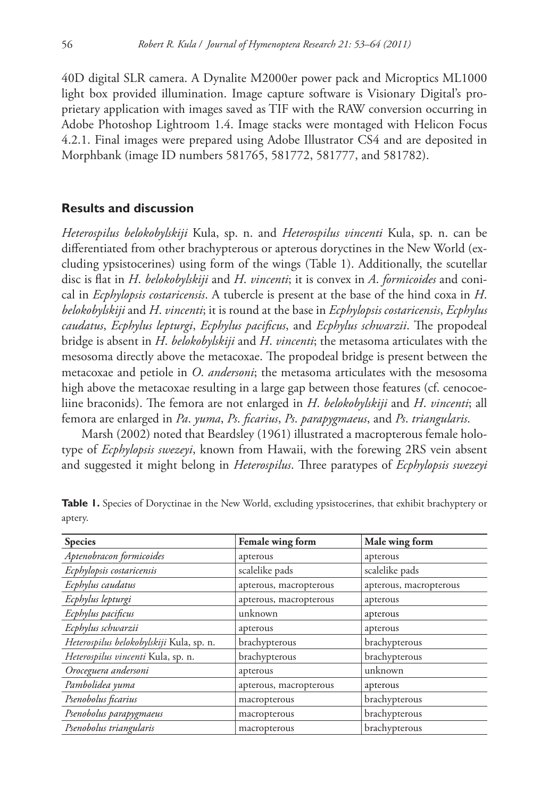40D digital SLR camera. A Dynalite M2000er power pack and Microptics ML1000 light box provided illumination. Image capture software is Visionary Digital's proprietary application with images saved as TIF with the RAW conversion occurring in Adobe Photoshop Lightroom 1.4. Image stacks were montaged with Helicon Focus 4.2.1. Final images were prepared using Adobe Illustrator CS4 and are deposited in Morphbank (image ID numbers 581765, 581772, 581777, and 581782).

### **Results and discussion**

*Heterospilus belokobylskiji* Kula, sp. n. and *Heterospilus vincenti* Kula, sp. n. can be differentiated from other brachypterous or apterous doryctines in the New World (excluding ypsistocerines) using form of the wings (Table 1). Additionally, the scutellar disc is flat in *H. belokobylskiji* and *H. vincenti*; it is convex in *A. formicoides* and conical in *Ecphylopsis costaricensis*. A tubercle is present at the base of the hind coxa in *H*. *belokobylskiji* and *H*. *vincenti*; it is round at the base in *Ecphylopsis costaricensis*, *Ecphylus caudatus, Ecphylus lepturgi, Ecphylus pacificus, and <i>Ecphylus schwarzii*. The propodeal bridge is absent in *H*. *belokobylskiji* and *H*. *vincenti*; the metasoma articulates with the mesosoma directly above the metacoxae. The propodeal bridge is present between the metacoxae and petiole in *O*. *andersoni*; the metasoma articulates with the mesosoma high above the metacoxae resulting in a large gap between those features (cf. cenocoeliine braconids). The femora are not enlarged in *H. belokobylskiji* and *H. vincenti*; all femora are enlarged in *Pa*. *yuma*, *Ps*. *fi carius*, *Ps*. *parapygmaeus*, and *Ps*. *triangularis*.

Marsh (2002) noted that Beardsley (1961) illustrated a macropterous female holotype of *Ecphylopsis swezeyi*, known from Hawaii, with the forewing 2RS vein absent and suggested it might belong in *Heterospilus*. Three paratypes of *Ecphylopsis swezeyi* 

| <b>Species</b>                           | Female wing form       | Male wing form         |
|------------------------------------------|------------------------|------------------------|
| Aptenobracon formicoides                 | apterous               | apterous               |
| Ecphylopsis costaricensis                | scalelike pads         | scalelike pads         |
| Ecphylus caudatus                        | apterous, macropterous | apterous, macropterous |
| Ecphylus lepturgi                        | apterous, macropterous | apterous               |
| Ecphylus pacificus                       | unknown                | apterous               |
| Ecphylus schwarzii                       | apterous               | apterous               |
| Heterospilus belokobylskiji Kula, sp. n. | brachypterous          | brachypterous          |
| Heterospilus vincenti Kula, sp. n.       | brachypterous          | brachypterous          |
| Oroceguera andersoni                     | apterous               | unknown                |
| Pambolidea yuma                          | apterous, macropterous | apterous               |
| Psenobolus ficarius                      | macropterous           | brachypterous          |
| Psenobolus parapygmaeus                  | macropterous           | brachypterous          |
| Psenobolus triangularis                  | macropterous           | brachypterous          |

**Table 1.** Species of Doryctinae in the New World, excluding ypsistocerines, that exhibit brachyptery or aptery.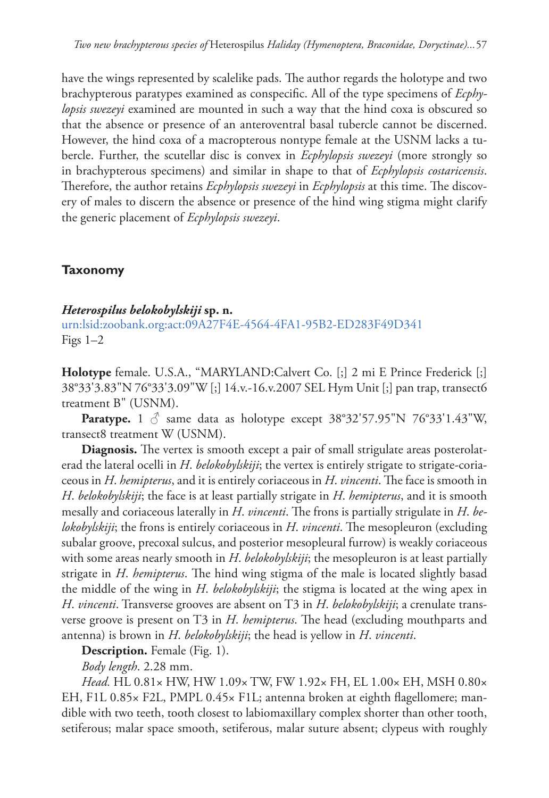have the wings represented by scalelike pads. The author regards the holotype and two brachypterous paratypes examined as conspecific. All of the type specimens of *Ecphylopsis swezeyi* examined are mounted in such a way that the hind coxa is obscured so that the absence or presence of an anteroventral basal tubercle cannot be discerned. However, the hind coxa of a macropterous nontype female at the USNM lacks a tubercle. Further, the scutellar disc is convex in *Ecphylopsis swezeyi* (more strongly so in brachypterous specimens) and similar in shape to that of *Ecphylopsis costaricensis*. Therefore, the author retains *Ecphylopsis swezeyi* in *Ecphylopsis* at this time. The discovery of males to discern the absence or presence of the hind wing stigma might clarify the generic placement of *Ecphylopsis swezeyi*.

# **Taxonomy**

## *Heterospilus belokobylskiji* **sp. n.**

[urn:lsid:zoobank.org:act:09A27F4E-4564-4FA1-95B2-ED283F49D341](http://zoobank.org/?lsid=urn:lsid:zoobank.org:act:09A27F4E-4564-4FA1-95B2-ED283F49D341) Figs  $1-2$ 

**Holotype** female. U.S.A., "MARYLAND:Calvert Co. [;] 2 mi E Prince Frederick [;] 38°33'3.83"N 76°33'3.09"W [;] 14.v.-16.v.2007 SEL Hym Unit [;] pan trap, transect6 treatment B" (USNM).

**Paratype.** 1  $\circ$  same data as holotype except 38°32'57.95"N 76°33'1.43"W, transect8 treatment W (USNM).

Diagnosis. The vertex is smooth except a pair of small strigulate areas posterolaterad the lateral ocelli in *H*. *belokobylskiji*; the vertex is entirely strigate to strigate-coriaceous in *H. hemipterus*, and it is entirely coriaceous in *H. vincenti*. The face is smooth in *H*. *belokobylskiji*; the face is at least partially strigate in *H*. *hemipterus*, and it is smooth mesally and coriaceous laterally in *H. vincenti*. The frons is partially strigulate in *H. belokobylskiji*; the frons is entirely coriaceous in *H. vincenti*. The mesopleuron (excluding subalar groove, precoxal sulcus, and posterior mesopleural furrow) is weakly coriaceous with some areas nearly smooth in *H*. *belokobylskiji*; the mesopleuron is at least partially strigate in *H. hemipterus*. The hind wing stigma of the male is located slightly basad the middle of the wing in *H*. *belokobylskiji*; the stigma is located at the wing apex in *H*. *vincenti*. Transverse grooves are absent on T3 in *H*. *belokobylskiji*; a crenulate transverse groove is present on T3 in *H. hemipterus*. The head (excluding mouthparts and antenna) is brown in *H*. *belokobylskiji*; the head is yellow in *H*. *vincenti*.

**Description.** Female (Fig. 1).

*Body length*. 2.28 mm.

*Head.* HL 0.81× HW, HW 1.09× TW, FW 1.92× FH, EL 1.00× EH, MSH 0.80× EH, F1L 0.85× F2L, PMPL 0.45× F1L; antenna broken at eighth flagellomere; mandible with two teeth, tooth closest to labiomaxillary complex shorter than other tooth, setiferous; malar space smooth, setiferous, malar suture absent; clypeus with roughly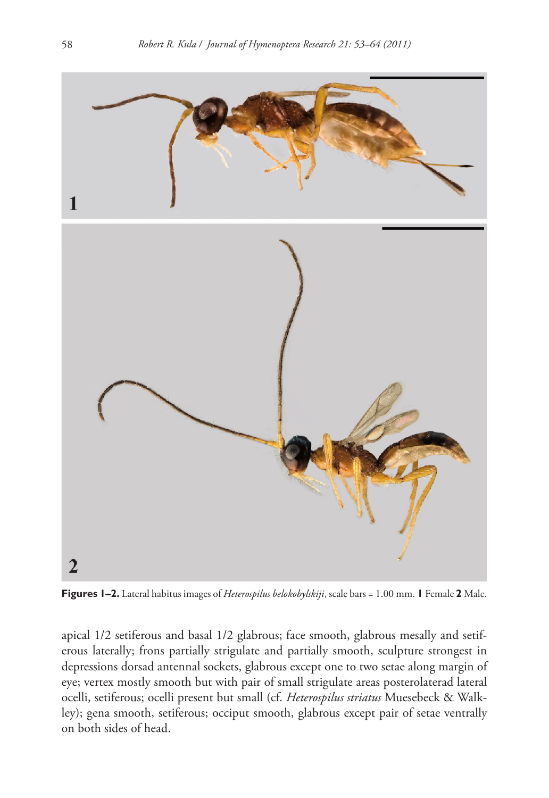

**Figures 1–2.** Lateral habitus images of *Heterospilus belokobylskiji*, scale bars = 1.00 mm. **1** Female **2** Male.

apical 1/2 setiferous and basal 1/2 glabrous; face smooth, glabrous mesally and setiferous laterally; frons partially strigulate and partially smooth, sculpture strongest in depressions dorsad antennal sockets, glabrous except one to two setae along margin of eye; vertex mostly smooth but with pair of small strigulate areas posterolaterad lateral ocelli, setiferous; ocelli present but small (cf. *Heterospilus striatus* Muesebeck & Walkley); gena smooth, setiferous; occiput smooth, glabrous except pair of setae ventrally on both sides of head.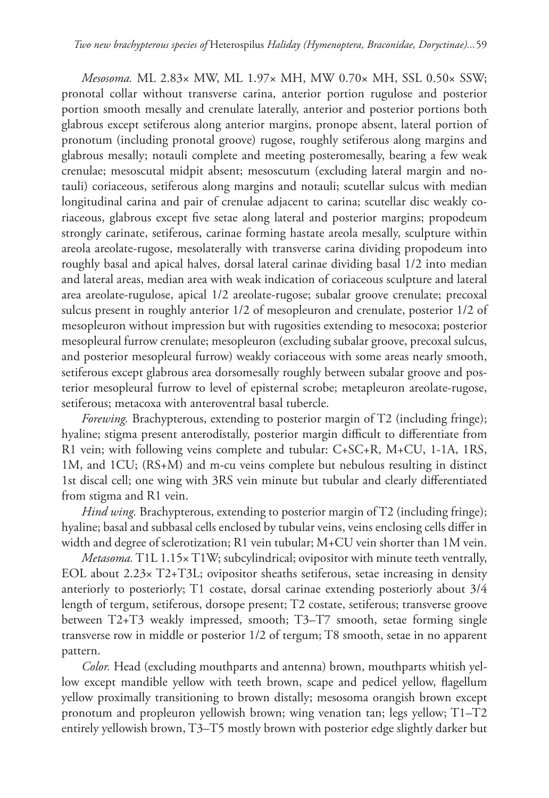*Mesosoma.* ML 2.83× MW, ML 1.97× MH, MW 0.70× MH, SSL 0.50× SSW; pronotal collar without transverse carina, anterior portion rugulose and posterior portion smooth mesally and crenulate laterally, anterior and posterior portions both glabrous except setiferous along anterior margins, pronope absent, lateral portion of pronotum (including pronotal groove) rugose, roughly setiferous along margins and glabrous mesally; notauli complete and meeting posteromesally, bearing a few weak crenulae; mesoscutal midpit absent; mesoscutum (excluding lateral margin and notauli) coriaceous, setiferous along margins and notauli; scutellar sulcus with median longitudinal carina and pair of crenulae adjacent to carina; scutellar disc weakly coriaceous, glabrous except five setae along lateral and posterior margins; propodeum strongly carinate, setiferous, carinae forming hastate areola mesally, sculpture within areola areolate-rugose, mesolaterally with transverse carina dividing propodeum into roughly basal and apical halves, dorsal lateral carinae dividing basal 1/2 into median and lateral areas, median area with weak indication of coriaceous sculpture and lateral area areolate-rugulose, apical 1/2 areolate-rugose; subalar groove crenulate; precoxal sulcus present in roughly anterior 1/2 of mesopleuron and crenulate, posterior 1/2 of mesopleuron without impression but with rugosities extending to mesocoxa; posterior mesopleural furrow crenulate; mesopleuron (excluding subalar groove, precoxal sulcus, and posterior mesopleural furrow) weakly coriaceous with some areas nearly smooth, setiferous except glabrous area dorsomesally roughly between subalar groove and posterior mesopleural furrow to level of episternal scrobe; metapleuron areolate-rugose, setiferous; metacoxa with anteroventral basal tubercle.

*Forewing.* Brachypterous, extending to posterior margin of T2 (including fringe); hyaline; stigma present anterodistally, posterior margin difficult to differentiate from R1 vein; with following veins complete and tubular: C+SC+R, M+CU, 1-1A, 1RS, 1M, and 1CU; (RS+M) and m-cu veins complete but nebulous resulting in distinct 1st discal cell; one wing with 3RS vein minute but tubular and clearly differentiated from stigma and R1 vein.

*Hind wing.* Brachypterous, extending to posterior margin of T2 (including fringe); hyaline; basal and subbasal cells enclosed by tubular veins, veins enclosing cells differ in width and degree of sclerotization; R1 vein tubular; M+CU vein shorter than 1M vein.

*Metasoma.* T1L 1.15× T1W; subcylindrical; ovipositor with minute teeth ventrally, EOL about 2.23× T2+T3L; ovipositor sheaths setiferous, setae increasing in density anteriorly to posteriorly; T1 costate, dorsal carinae extending posteriorly about 3/4 length of tergum, setiferous, dorsope present; T2 costate, setiferous; transverse groove between T2+T3 weakly impressed, smooth; T3–T7 smooth, setae forming single transverse row in middle or posterior 1/2 of tergum; T8 smooth, setae in no apparent pattern.

*Color.* Head (excluding mouthparts and antenna) brown, mouthparts whitish yellow except mandible yellow with teeth brown, scape and pedicel yellow, flagellum yellow proximally transitioning to brown distally; mesosoma orangish brown except pronotum and propleuron yellowish brown; wing venation tan; legs yellow; T1–T2 entirely yellowish brown, T3–T5 mostly brown with posterior edge slightly darker but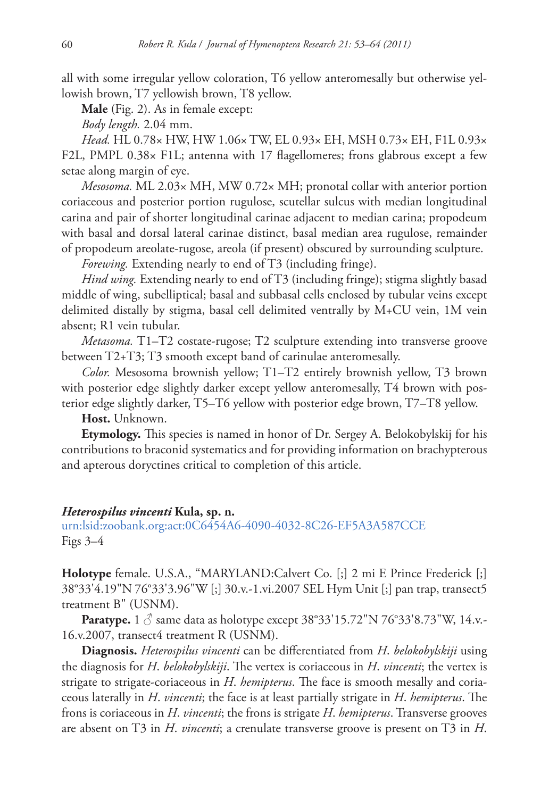all with some irregular yellow coloration, T6 yellow anteromesally but otherwise yellowish brown, T7 yellowish brown, T8 yellow.

**Male** (Fig. 2). As in female except:

*Body length.* 2.04 mm.

*Head.* HL 0.78× HW, HW 1.06× TW, EL 0.93× EH, MSH 0.73× EH, F1L 0.93× F2L, PMPL  $0.38 \times$  F1L; antenna with 17 flagellomeres; frons glabrous except a few setae along margin of eye.

*Mesosoma.* ML 2.03× MH, MW 0.72× MH; pronotal collar with anterior portion coriaceous and posterior portion rugulose, scutellar sulcus with median longitudinal carina and pair of shorter longitudinal carinae adjacent to median carina; propodeum with basal and dorsal lateral carinae distinct, basal median area rugulose, remainder of propodeum areolate-rugose, areola (if present) obscured by surrounding sculpture.

*Forewing.* Extending nearly to end of T3 (including fringe).

*Hind wing.* Extending nearly to end of T3 (including fringe); stigma slightly basad middle of wing, subelliptical; basal and subbasal cells enclosed by tubular veins except delimited distally by stigma, basal cell delimited ventrally by M+CU vein, 1M vein absent; R1 vein tubular.

*Metasoma.* T1–T2 costate-rugose; T2 sculpture extending into transverse groove between T2+T3; T3 smooth except band of carinulae anteromesally.

*Color.* Mesosoma brownish yellow; T1–T2 entirely brownish yellow, T3 brown with posterior edge slightly darker except yellow anteromesally, T4 brown with posterior edge slightly darker, T5–T6 yellow with posterior edge brown, T7–T8 yellow.

**Host.** Unknown.

**Etymology.** This species is named in honor of Dr. Sergey A. Belokobylskij for his contributions to braconid systematics and for providing information on brachypterous and apterous doryctines critical to completion of this article.

### *Heterospilus vincenti* **Kula, sp. n.**

[urn:lsid:zoobank.org:act:0C6454A6-4090-4032-8C26-EF5A3A587CCE](http://zoobank.org/?lsid=urn:lsid:zoobank.org:act:0C6454A6-4090-4032-8C26-EF5A3A587CCE) Figs 3–4

**Holotype** female. U.S.A., "MARYLAND:Calvert Co. [;] 2 mi E Prince Frederick [;] 38°33'4.19"N 76°33'3.96"W [;] 30.v.-1.vi.2007 SEL Hym Unit [;] pan trap, transect5 treatment B" (USNM).

**Paratype.** 1  $\circ$  same data as holotype except 38°33'15.72"N 76°33'8.73"W, 14.v.-16.v.2007, transect4 treatment R (USNM).

**Diagnosis.** *Heterospilus vincenti* can be differentiated from *H. belokobylskiji* using the diagnosis for *H. belokobylskiji*. The vertex is coriaceous in *H. vincenti*; the vertex is strigate to strigate-coriaceous in *H. hemipterus*. The face is smooth mesally and coriaceous laterally in *H. vincenti*; the face is at least partially strigate in *H. hemipterus*. The frons is coriaceous in *H*. *vincenti*; the frons is strigate *H*. *hemipterus*. Transverse grooves are absent on T3 in *H*. *vincenti*; a crenulate transverse groove is present on T3 in *H*.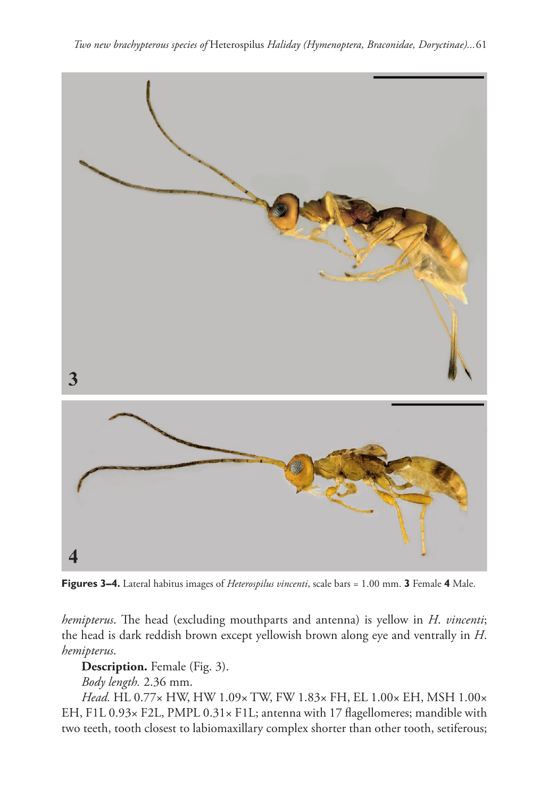

**Figures 3–4.** Lateral habitus images of *Heterospilus vincenti*, scale bars = 1.00 mm. **3** Female **4** Male.

*hemipterus*. The head (excluding mouthparts and antenna) is yellow in *H. vincenti*; the head is dark reddish brown except yellowish brown along eye and ventrally in *H*. *hemipterus*.

**Description.** Female (Fig. 3).

*Body length.* 2.36 mm.

*Head.* HL 0.77× HW, HW 1.09× TW, FW 1.83× FH, EL 1.00× EH, MSH 1.00× EH, F1L 0.93x F2L, PMPL 0.31x F1L; antenna with 17 flagellomeres; mandible with two teeth, tooth closest to labiomaxillary complex shorter than other tooth, setiferous;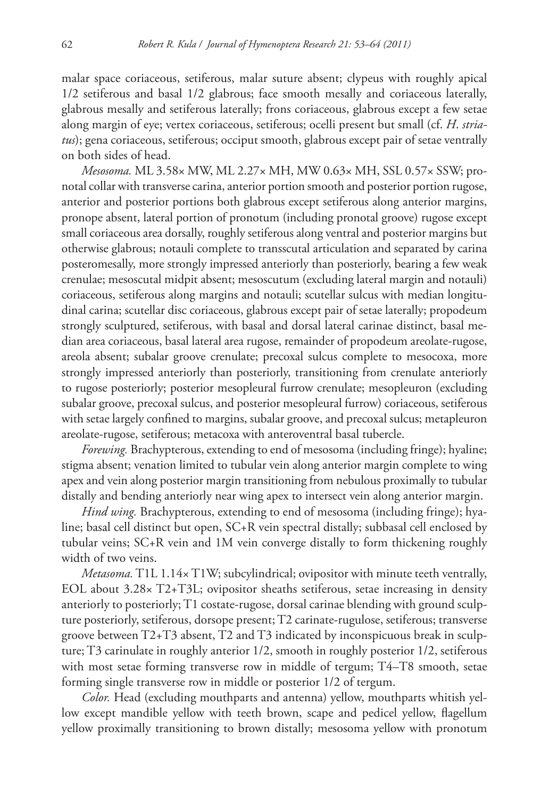malar space coriaceous, setiferous, malar suture absent; clypeus with roughly apical 1/2 setiferous and basal 1/2 glabrous; face smooth mesally and coriaceous laterally, glabrous mesally and setiferous laterally; frons coriaceous, glabrous except a few setae along margin of eye; vertex coriaceous, setiferous; ocelli present but small (cf. *H*. *striatus*); gena coriaceous, setiferous; occiput smooth, glabrous except pair of setae ventrally on both sides of head.

*Mesosoma.* ML 3.58× MW, ML 2.27× MH, MW 0.63× MH, SSL 0.57× SSW; pronotal collar with transverse carina, anterior portion smooth and posterior portion rugose, anterior and posterior portions both glabrous except setiferous along anterior margins, pronope absent, lateral portion of pronotum (including pronotal groove) rugose except small coriaceous area dorsally, roughly setiferous along ventral and posterior margins but otherwise glabrous; notauli complete to transscutal articulation and separated by carina posteromesally, more strongly impressed anteriorly than posteriorly, bearing a few weak crenulae; mesoscutal midpit absent; mesoscutum (excluding lateral margin and notauli) coriaceous, setiferous along margins and notauli; scutellar sulcus with median longitudinal carina; scutellar disc coriaceous, glabrous except pair of setae laterally; propodeum strongly sculptured, setiferous, with basal and dorsal lateral carinae distinct, basal median area coriaceous, basal lateral area rugose, remainder of propodeum areolate-rugose, areola absent; subalar groove crenulate; precoxal sulcus complete to mesocoxa, more strongly impressed anteriorly than posteriorly, transitioning from crenulate anteriorly to rugose posteriorly; posterior mesopleural furrow crenulate; mesopleuron (excluding subalar groove, precoxal sulcus, and posterior mesopleural furrow) coriaceous, setiferous with setae largely confined to margins, subalar groove, and precoxal sulcus; metapleuron areolate-rugose, setiferous; metacoxa with anteroventral basal tubercle.

*Forewing.* Brachypterous, extending to end of mesosoma (including fringe); hyaline; stigma absent; venation limited to tubular vein along anterior margin complete to wing apex and vein along posterior margin transitioning from nebulous proximally to tubular distally and bending anteriorly near wing apex to intersect vein along anterior margin.

*Hind wing.* Brachypterous, extending to end of mesosoma (including fringe); hyaline; basal cell distinct but open, SC+R vein spectral distally; subbasal cell enclosed by tubular veins; SC+R vein and 1M vein converge distally to form thickening roughly width of two veins.

*Metasoma.* T1L 1.14× T1W; subcylindrical; ovipositor with minute teeth ventrally, EOL about 3.28× T2+T3L; ovipositor sheaths setiferous, setae increasing in density anteriorly to posteriorly; T1 costate-rugose, dorsal carinae blending with ground sculpture posteriorly, setiferous, dorsope present; T2 carinate-rugulose, setiferous; transverse groove between T2+T3 absent, T2 and T3 indicated by inconspicuous break in sculpture; T3 carinulate in roughly anterior 1/2, smooth in roughly posterior 1/2, setiferous with most setae forming transverse row in middle of tergum; T4–T8 smooth, setae forming single transverse row in middle or posterior 1/2 of tergum.

*Color.* Head (excluding mouthparts and antenna) yellow, mouthparts whitish yellow except mandible yellow with teeth brown, scape and pedicel yellow, flagellum yellow proximally transitioning to brown distally; mesosoma yellow with pronotum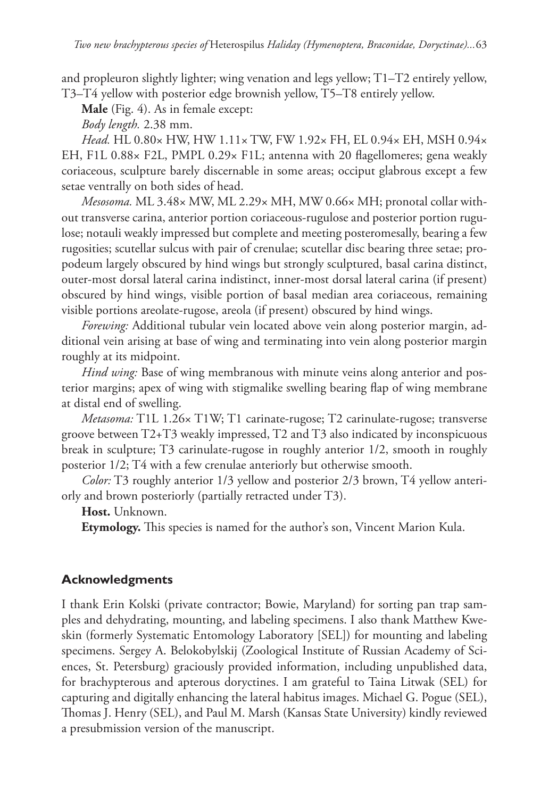and propleuron slightly lighter; wing venation and legs yellow; T1–T2 entirely yellow, T3–T4 yellow with posterior edge brownish yellow, T5–T8 entirely yellow.

**Male** (Fig. 4). As in female except:

*Body length.* 2.38 mm.

*Head.* HL 0.80× HW, HW 1.11× TW, FW 1.92× FH, EL 0.94× EH, MSH 0.94× EH, F1L  $0.88\times$  F2L, PMPL  $0.29\times$  F1L; antenna with 20 flagellomeres; gena weakly coriaceous, sculpture barely discernable in some areas; occiput glabrous except a few setae ventrally on both sides of head.

*Mesosoma.* ML 3.48× MW, ML 2.29× MH, MW 0.66× MH; pronotal collar without transverse carina, anterior portion coriaceous-rugulose and posterior portion rugulose; notauli weakly impressed but complete and meeting posteromesally, bearing a few rugosities; scutellar sulcus with pair of crenulae; scutellar disc bearing three setae; propodeum largely obscured by hind wings but strongly sculptured, basal carina distinct, outer-most dorsal lateral carina indistinct, inner-most dorsal lateral carina (if present) obscured by hind wings, visible portion of basal median area coriaceous, remaining visible portions areolate-rugose, areola (if present) obscured by hind wings.

*Forewing:* Additional tubular vein located above vein along posterior margin, additional vein arising at base of wing and terminating into vein along posterior margin roughly at its midpoint.

*Hind wing:* Base of wing membranous with minute veins along anterior and posterior margins; apex of wing with stigmalike swelling bearing flap of wing membrane at distal end of swelling.

*Metasoma:* T1L 1.26× T1W; T1 carinate-rugose; T2 carinulate-rugose; transverse groove between T2+T3 weakly impressed, T2 and T3 also indicated by inconspicuous break in sculpture; T3 carinulate-rugose in roughly anterior 1/2, smooth in roughly posterior 1/2; T4 with a few crenulae anteriorly but otherwise smooth.

*Color:* T3 roughly anterior 1/3 yellow and posterior 2/3 brown, T4 yellow anteriorly and brown posteriorly (partially retracted under T3).

**Host.** Unknown.

**Etymology.** This species is named for the author's son, Vincent Marion Kula.

# **Acknowledgments**

I thank Erin Kolski (private contractor; Bowie, Maryland) for sorting pan trap samples and dehydrating, mounting, and labeling specimens. I also thank Matthew Kweskin (formerly Systematic Entomology Laboratory [SEL]) for mounting and labeling specimens. Sergey A. Belokobylskij (Zoological Institute of Russian Academy of Sciences, St. Petersburg) graciously provided information, including unpublished data, for brachypterous and apterous doryctines. I am grateful to Taina Litwak (SEL) for capturing and digitally enhancing the lateral habitus images. Michael G. Pogue (SEL), Thomas J. Henry (SEL), and Paul M. Marsh (Kansas State University) kindly reviewed a presubmission version of the manuscript.